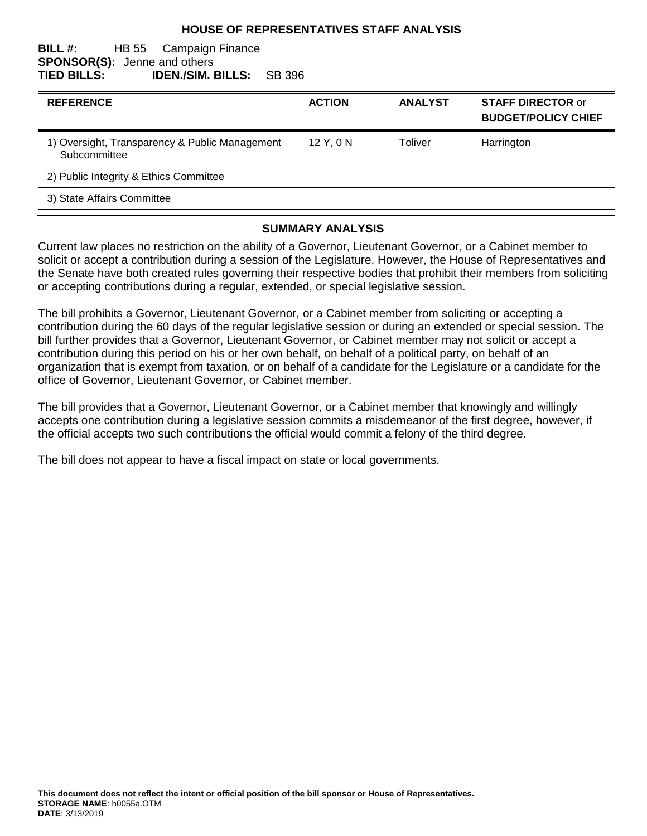## **HOUSE OF REPRESENTATIVES STAFF ANALYSIS**

#### **BILL #:** HB 55 Campaign Finance **SPONSOR(S):** Jenne and others **TIED BILLS: IDEN./SIM. BILLS:** SB 396

| <b>REFERENCE</b>                                               | <b>ACTION</b> | <b>ANALYST</b> | <b>STAFF DIRECTOR or</b><br><b>BUDGET/POLICY CHIEF</b> |
|----------------------------------------------------------------|---------------|----------------|--------------------------------------------------------|
| 1) Oversight, Transparency & Public Management<br>Subcommittee | $12$ Y, 0 N   | Toliver        | Harrington                                             |
| 2) Public Integrity & Ethics Committee                         |               |                |                                                        |
| 3) State Affairs Committee                                     |               |                |                                                        |

## **SUMMARY ANALYSIS**

Current law places no restriction on the ability of a Governor, Lieutenant Governor, or a Cabinet member to solicit or accept a contribution during a session of the Legislature. However, the House of Representatives and the Senate have both created rules governing their respective bodies that prohibit their members from soliciting or accepting contributions during a regular, extended, or special legislative session.

The bill prohibits a Governor, Lieutenant Governor, or a Cabinet member from soliciting or accepting a contribution during the 60 days of the regular legislative session or during an extended or special session. The bill further provides that a Governor, Lieutenant Governor, or Cabinet member may not solicit or accept a contribution during this period on his or her own behalf, on behalf of a political party, on behalf of an organization that is exempt from taxation, or on behalf of a candidate for the Legislature or a candidate for the office of Governor, Lieutenant Governor, or Cabinet member.

The bill provides that a Governor, Lieutenant Governor, or a Cabinet member that knowingly and willingly accepts one contribution during a legislative session commits a misdemeanor of the first degree, however, if the official accepts two such contributions the official would commit a felony of the third degree.

The bill does not appear to have a fiscal impact on state or local governments.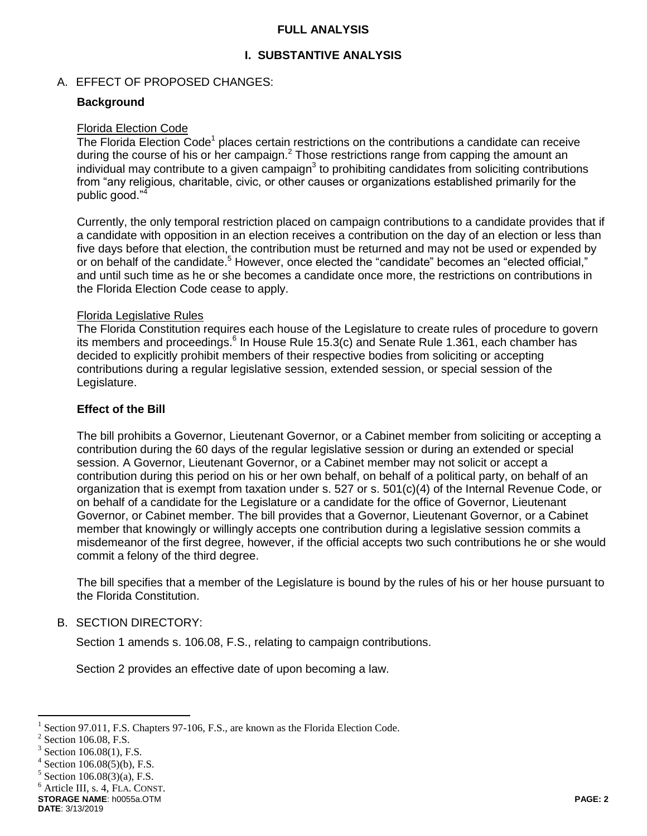## **FULL ANALYSIS**

# **I. SUBSTANTIVE ANALYSIS**

## A. EFFECT OF PROPOSED CHANGES:

## **Background**

# Florida Election Code

The Florida Election Code<sup>1</sup> places certain restrictions on the contributions a candidate can receive during the course of his or her campaign.<sup>2</sup> Those restrictions range from capping the amount an individual may contribute to a given campaign<sup>3</sup> to prohibiting candidates from soliciting contributions from "any religious, charitable, civic, or other causes or organizations established primarily for the public good."<sup>4</sup>

Currently, the only temporal restriction placed on campaign contributions to a candidate provides that if a candidate with opposition in an election receives a contribution on the day of an election or less than five days before that election, the contribution must be returned and may not be used or expended by or on behalf of the candidate.<sup>5</sup> However, once elected the "candidate" becomes an "elected official," and until such time as he or she becomes a candidate once more, the restrictions on contributions in the Florida Election Code cease to apply.

#### Florida Legislative Rules

The Florida Constitution requires each house of the Legislature to create rules of procedure to govern its members and proceedings. $6$  In House Rule 15.3(c) and Senate Rule 1.361, each chamber has decided to explicitly prohibit members of their respective bodies from soliciting or accepting contributions during a regular legislative session, extended session, or special session of the Legislature.

## **Effect of the Bill**

The bill prohibits a Governor, Lieutenant Governor, or a Cabinet member from soliciting or accepting a contribution during the 60 days of the regular legislative session or during an extended or special session. A Governor, Lieutenant Governor, or a Cabinet member may not solicit or accept a contribution during this period on his or her own behalf, on behalf of a political party, on behalf of an organization that is exempt from taxation under s. 527 or s. 501(c)(4) of the Internal Revenue Code, or on behalf of a candidate for the Legislature or a candidate for the office of Governor, Lieutenant Governor, or Cabinet member. The bill provides that a Governor, Lieutenant Governor, or a Cabinet member that knowingly or willingly accepts one contribution during a legislative session commits a misdemeanor of the first degree, however, if the official accepts two such contributions he or she would commit a felony of the third degree.

The bill specifies that a member of the Legislature is bound by the rules of his or her house pursuant to the Florida Constitution.

# B. SECTION DIRECTORY:

Section 1 amends s. 106.08, F.S., relating to campaign contributions.

Section 2 provides an effective date of upon becoming a law.

 $\overline{a}$ 

<sup>6</sup> Article III, s. 4, FLA. CONST.

```
STORAGE NAME: h0055a.OTM PAGE: 2
```
<sup>1</sup> Section 97.011, F.S. Chapters 97-106, F.S., are known as the Florida Election Code.

<sup>2</sup> Section 106.08, F.S.

<sup>3</sup> Section 106.08(1), F.S.

<sup>4</sup> Section 106.08(5)(b), F.S.

 $5$  Section 106.08(3)(a), F.S.